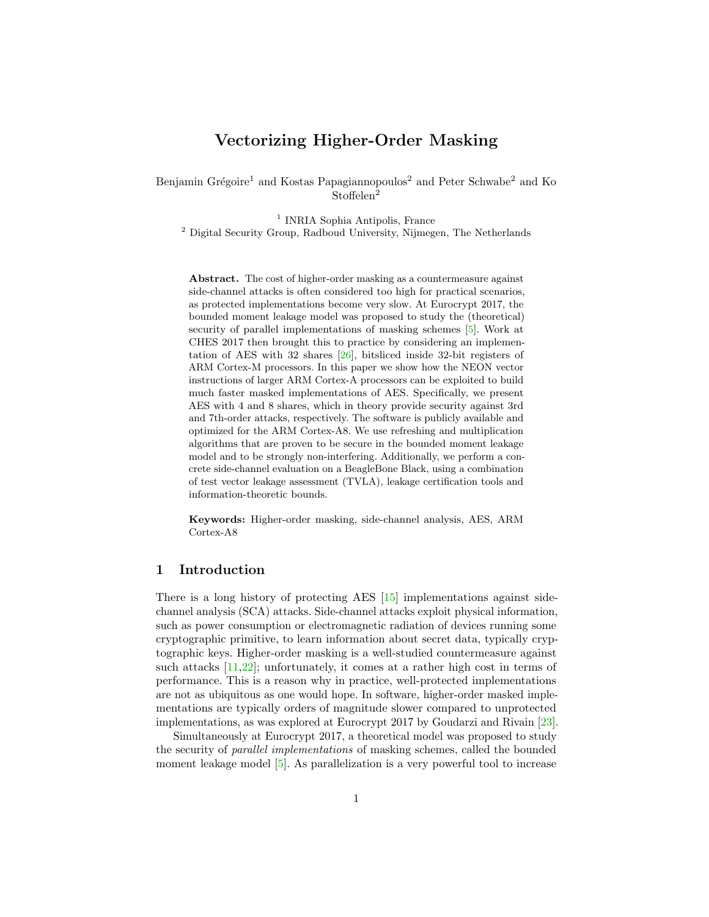# Vectorizing Higher-Order Masking

Benjamin Grégoire<sup>1</sup> and Kostas Papagiannopoulos<sup>2</sup> and Peter Schwabe<sup>2</sup> and Ko Stoffelen<sup>2</sup>

<sup>1</sup> INRIA Sophia Antipolis, France <sup>2</sup> Digital Security Group, Radboud University, Nijmegen, The Netherlands

Abstract. The cost of higher-order masking as a countermeasure against side-channel attacks is often considered too high for practical scenarios, as protected implementations become very slow. At Eurocrypt 2017, the bounded moment leakage model was proposed to study the (theoretical) security of parallel implementations of masking schemes [\[5\]](#page-15-0). Work at CHES 2017 then brought this to practice by considering an implementation of AES with 32 shares [\[26\]](#page-17-0), bitsliced inside 32-bit registers of ARM Cortex-M processors. In this paper we show how the NEON vector instructions of larger ARM Cortex-A processors can be exploited to build much faster masked implementations of AES. Specifically, we present AES with 4 and 8 shares, which in theory provide security against 3rd and 7th-order attacks, respectively. The software is publicly available and optimized for the ARM Cortex-A8. We use refreshing and multiplication algorithms that are proven to be secure in the bounded moment leakage model and to be strongly non-interfering. Additionally, we perform a concrete side-channel evaluation on a BeagleBone Black, using a combination of test vector leakage assessment (TVLA), leakage certification tools and information-theoretic bounds.

Keywords: Higher-order masking, side-channel analysis, AES, ARM Cortex-A8

### 1 Introduction

There is a long history of protecting AES [\[15\]](#page-16-0) implementations against sidechannel analysis (SCA) attacks. Side-channel attacks exploit physical information, such as power consumption or electromagnetic radiation of devices running some cryptographic primitive, to learn information about secret data, typically cryptographic keys. Higher-order masking is a well-studied countermeasure against such attacks [\[11](#page-16-1)[,22\]](#page-17-1); unfortunately, it comes at a rather high cost in terms of performance. This is a reason why in practice, well-protected implementations are not as ubiquitous as one would hope. In software, higher-order masked implementations are typically orders of magnitude slower compared to unprotected implementations, as was explored at Eurocrypt 2017 by Goudarzi and Rivain [\[23\]](#page-17-2).

Simultaneously at Eurocrypt 2017, a theoretical model was proposed to study the security of parallel implementations of masking schemes, called the bounded moment leakage model [\[5\]](#page-15-0). As parallelization is a very powerful tool to increase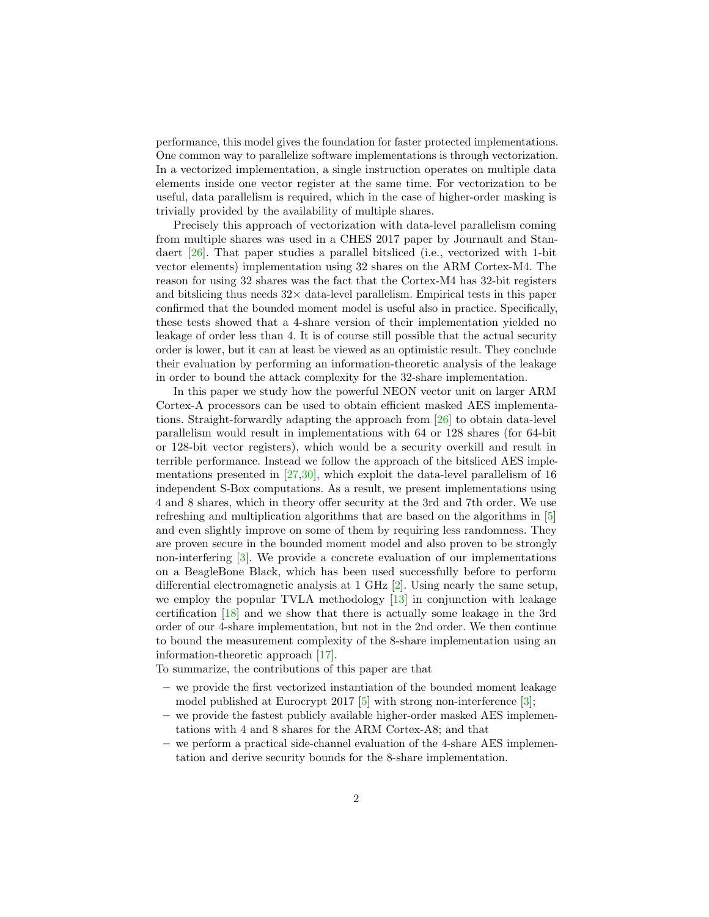performance, this model gives the foundation for faster protected implementations. One common way to parallelize software implementations is through vectorization. In a vectorized implementation, a single instruction operates on multiple data elements inside one vector register at the same time. For vectorization to be useful, data parallelism is required, which in the case of higher-order masking is trivially provided by the availability of multiple shares.

Precisely this approach of vectorization with data-level parallelism coming from multiple shares was used in a CHES 2017 paper by Journault and Standaert [\[26\]](#page-17-0). That paper studies a parallel bitsliced (i.e., vectorized with 1-bit vector elements) implementation using 32 shares on the ARM Cortex-M4. The reason for using 32 shares was the fact that the Cortex-M4 has 32-bit registers and bitslicing thus needs  $32 \times$  data-level parallelism. Empirical tests in this paper confirmed that the bounded moment model is useful also in practice. Specifically, these tests showed that a 4-share version of their implementation yielded no leakage of order less than 4. It is of course still possible that the actual security order is lower, but it can at least be viewed as an optimistic result. They conclude their evaluation by performing an information-theoretic analysis of the leakage in order to bound the attack complexity for the 32-share implementation.

In this paper we study how the powerful NEON vector unit on larger ARM Cortex-A processors can be used to obtain efficient masked AES implementations. Straight-forwardly adapting the approach from [\[26\]](#page-17-0) to obtain data-level parallelism would result in implementations with 64 or 128 shares (for 64-bit or 128-bit vector registers), which would be a security overkill and result in terrible performance. Instead we follow the approach of the bitsliced AES implementations presented in [\[27,](#page-17-3)[30\]](#page-17-4), which exploit the data-level parallelism of 16 independent S-Box computations. As a result, we present implementations using 4 and 8 shares, which in theory offer security at the 3rd and 7th order. We use refreshing and multiplication algorithms that are based on the algorithms in [\[5\]](#page-15-0) and even slightly improve on some of them by requiring less randomness. They are proven secure in the bounded moment model and also proven to be strongly non-interfering [\[3\]](#page-15-1). We provide a concrete evaluation of our implementations on a BeagleBone Black, which has been used successfully before to perform differential electromagnetic analysis at 1 GHz [\[2\]](#page-15-2). Using nearly the same setup, we employ the popular TVLA methodology [\[13\]](#page-16-2) in conjunction with leakage certification [\[18\]](#page-16-3) and we show that there is actually some leakage in the 3rd order of our 4-share implementation, but not in the 2nd order. We then continue to bound the measurement complexity of the 8-share implementation using an information-theoretic approach [\[17\]](#page-16-4).

To summarize, the contributions of this paper are that

- we provide the first vectorized instantiation of the bounded moment leakage model published at Eurocrypt 2017  $[5]$  with strong non-interference  $[3]$ ;
- we provide the fastest publicly available higher-order masked AES implementations with 4 and 8 shares for the ARM Cortex-A8; and that
- we perform a practical side-channel evaluation of the 4-share AES implementation and derive security bounds for the 8-share implementation.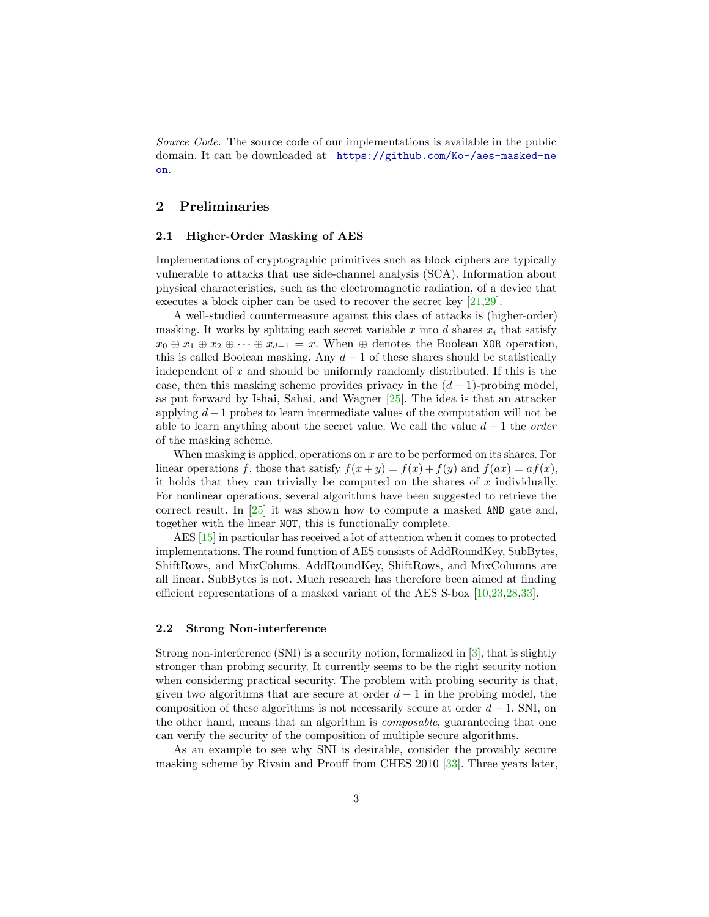Source Code. The source code of our implementations is available in the public domain. It can be downloaded at [https://github.com/Ko-/aes-masked-ne](https://github.com/Ko-/aes-masked-neon) [on](https://github.com/Ko-/aes-masked-neon).

## 2 Preliminaries

### 2.1 Higher-Order Masking of AES

Implementations of cryptographic primitives such as block ciphers are typically vulnerable to attacks that use side-channel analysis (SCA). Information about physical characteristics, such as the electromagnetic radiation, of a device that executes a block cipher can be used to recover the secret key [\[21,](#page-17-5)[29\]](#page-17-6).

A well-studied countermeasure against this class of attacks is (higher-order) masking. It works by splitting each secret variable x into d shares  $x_i$  that satisfy  $x_0 \oplus x_1 \oplus x_2 \oplus \cdots \oplus x_{d-1} = x$ . When  $\oplus$  denotes the Boolean XOR operation, this is called Boolean masking. Any  $d-1$  of these shares should be statistically independent of  $x$  and should be uniformly randomly distributed. If this is the case, then this masking scheme provides privacy in the  $(d-1)$ -probing model, as put forward by Ishai, Sahai, and Wagner [\[25\]](#page-17-7). The idea is that an attacker applying  $d-1$  probes to learn intermediate values of the computation will not be able to learn anything about the secret value. We call the value  $d-1$  the *order* of the masking scheme.

When masking is applied, operations on  $x$  are to be performed on its shares. For linear operations f, those that satisfy  $f(x+y) = f(x) + f(y)$  and  $f(ax) = af(x)$ , it holds that they can trivially be computed on the shares of  $x$  individually. For nonlinear operations, several algorithms have been suggested to retrieve the correct result. In  $\left[25\right]$  it was shown how to compute a masked AND gate and. together with the linear NOT, this is functionally complete.

AES [\[15\]](#page-16-0) in particular has received a lot of attention when it comes to protected implementations. The round function of AES consists of AddRoundKey, SubBytes, ShiftRows, and MixColums. AddRoundKey, ShiftRows, and MixColumns are all linear. SubBytes is not. Much research has therefore been aimed at finding efficient representations of a masked variant of the AES S-box [\[10,](#page-16-5)[23,](#page-17-2)[28,](#page-17-8)[33\]](#page-18-0).

### 2.2 Strong Non-interference

Strong non-interference (SNI) is a security notion, formalized in [\[3\]](#page-15-1), that is slightly stronger than probing security. It currently seems to be the right security notion when considering practical security. The problem with probing security is that, given two algorithms that are secure at order  $d-1$  in the probing model, the composition of these algorithms is not necessarily secure at order  $d-1$ . SNI, on the other hand, means that an algorithm is composable, guaranteeing that one can verify the security of the composition of multiple secure algorithms.

As an example to see why SNI is desirable, consider the provably secure masking scheme by Rivain and Prouff from CHES 2010 [\[33\]](#page-18-0). Three years later,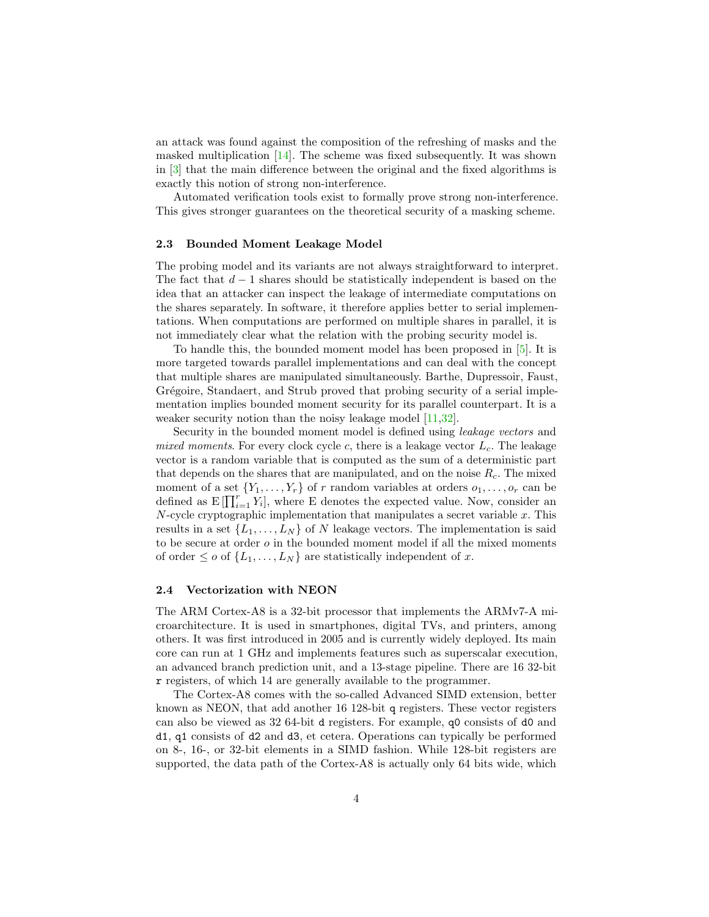an attack was found against the composition of the refreshing of masks and the masked multiplication [\[14\]](#page-16-6). The scheme was fixed subsequently. It was shown in [\[3\]](#page-15-1) that the main difference between the original and the fixed algorithms is exactly this notion of strong non-interference.

Automated verification tools exist to formally prove strong non-interference. This gives stronger guarantees on the theoretical security of a masking scheme.

### 2.3 Bounded Moment Leakage Model

The probing model and its variants are not always straightforward to interpret. The fact that  $d-1$  shares should be statistically independent is based on the idea that an attacker can inspect the leakage of intermediate computations on the shares separately. In software, it therefore applies better to serial implementations. When computations are performed on multiple shares in parallel, it is not immediately clear what the relation with the probing security model is.

To handle this, the bounded moment model has been proposed in [\[5\]](#page-15-0). It is more targeted towards parallel implementations and can deal with the concept that multiple shares are manipulated simultaneously. Barthe, Dupressoir, Faust, Grégoire, Standaert, and Strub proved that probing security of a serial implementation implies bounded moment security for its parallel counterpart. It is a weaker security notion than the noisy leakage model [\[11,](#page-16-1)[32\]](#page-17-9).

Security in the bounded moment model is defined using leakage vectors and mixed moments. For every clock cycle c, there is a leakage vector  $L_c$ . The leakage vector is a random variable that is computed as the sum of a deterministic part that depends on the shares that are manipulated, and on the noise  $R_c$ . The mixed moment of a set  $\{Y_1, \ldots, Y_r\}$  of r random variables at orders  $o_1, \ldots, o_r$  can be defined as  $E[\prod_{i=1}^r Y_i]$ , where E denotes the expected value. Now, consider an  $N$ -cycle cryptographic implementation that manipulates a secret variable  $x$ . This results in a set  $\{L_1, \ldots, L_N\}$  of N leakage vectors. The implementation is said to be secure at order  $o$  in the bounded moment model if all the mixed moments of order  $\leq o$  of  $\{L_1, \ldots, L_N\}$  are statistically independent of x.

#### 2.4 Vectorization with NEON

The ARM Cortex-A8 is a 32-bit processor that implements the ARMv7-A microarchitecture. It is used in smartphones, digital TVs, and printers, among others. It was first introduced in 2005 and is currently widely deployed. Its main core can run at 1 GHz and implements features such as superscalar execution, an advanced branch prediction unit, and a 13-stage pipeline. There are 16 32-bit r registers, of which 14 are generally available to the programmer.

The Cortex-A8 comes with the so-called Advanced SIMD extension, better known as NEON, that add another 16 128-bit q registers. These vector registers can also be viewed as 32 64-bit d registers. For example, q0 consists of d0 and d1, q1 consists of d2 and d3, et cetera. Operations can typically be performed on 8-, 16-, or 32-bit elements in a SIMD fashion. While 128-bit registers are supported, the data path of the Cortex-A8 is actually only 64 bits wide, which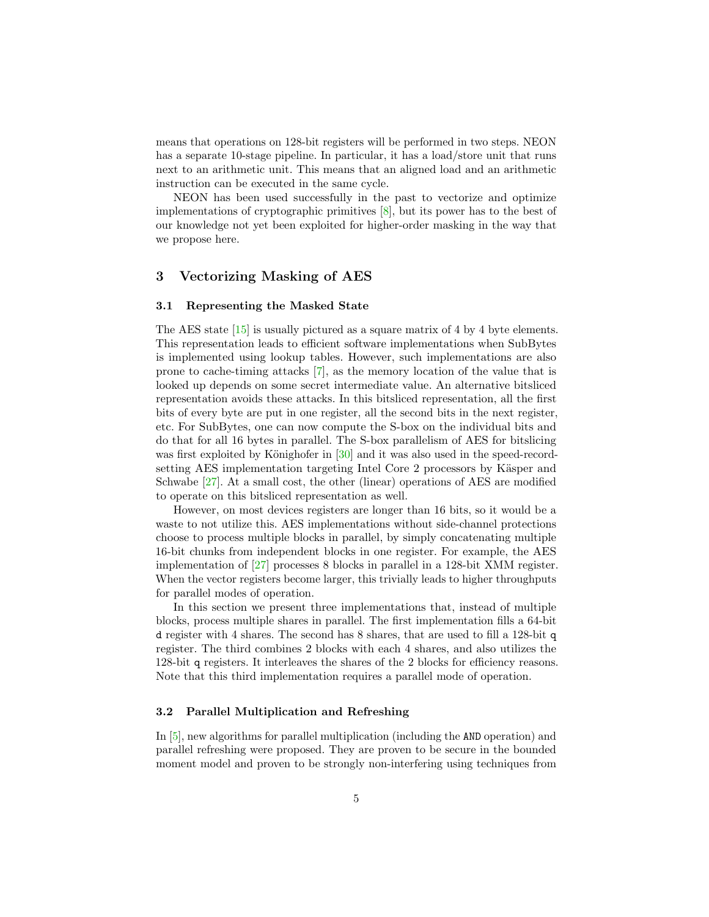means that operations on 128-bit registers will be performed in two steps. NEON has a separate 10-stage pipeline. In particular, it has a load/store unit that runs next to an arithmetic unit. This means that an aligned load and an arithmetic instruction can be executed in the same cycle.

NEON has been used successfully in the past to vectorize and optimize implementations of cryptographic primitives [\[8\]](#page-16-7), but its power has to the best of our knowledge not yet been exploited for higher-order masking in the way that we propose here.

### 3 Vectorizing Masking of AES

### 3.1 Representing the Masked State

The AES state [\[15\]](#page-16-0) is usually pictured as a square matrix of 4 by 4 byte elements. This representation leads to efficient software implementations when SubBytes is implemented using lookup tables. However, such implementations are also prone to cache-timing attacks [\[7\]](#page-15-3), as the memory location of the value that is looked up depends on some secret intermediate value. An alternative bitsliced representation avoids these attacks. In this bitsliced representation, all the first bits of every byte are put in one register, all the second bits in the next register, etc. For SubBytes, one can now compute the S-box on the individual bits and do that for all 16 bytes in parallel. The S-box parallelism of AES for bitslicing was first exploited by Könighofer in  $[30]$  and it was also used in the speed-recordsetting AES implementation targeting Intel Core 2 processors by Käsper and Schwabe [\[27\]](#page-17-3). At a small cost, the other (linear) operations of AES are modified to operate on this bitsliced representation as well.

However, on most devices registers are longer than 16 bits, so it would be a waste to not utilize this. AES implementations without side-channel protections choose to process multiple blocks in parallel, by simply concatenating multiple 16-bit chunks from independent blocks in one register. For example, the AES implementation of [\[27\]](#page-17-3) processes 8 blocks in parallel in a 128-bit XMM register. When the vector registers become larger, this trivially leads to higher throughputs for parallel modes of operation.

In this section we present three implementations that, instead of multiple blocks, process multiple shares in parallel. The first implementation fills a 64-bit d register with 4 shares. The second has 8 shares, that are used to fill a 128-bit q register. The third combines 2 blocks with each 4 shares, and also utilizes the 128-bit q registers. It interleaves the shares of the 2 blocks for efficiency reasons. Note that this third implementation requires a parallel mode of operation.

### 3.2 Parallel Multiplication and Refreshing

In [\[5\]](#page-15-0), new algorithms for parallel multiplication (including the AND operation) and parallel refreshing were proposed. They are proven to be secure in the bounded moment model and proven to be strongly non-interfering using techniques from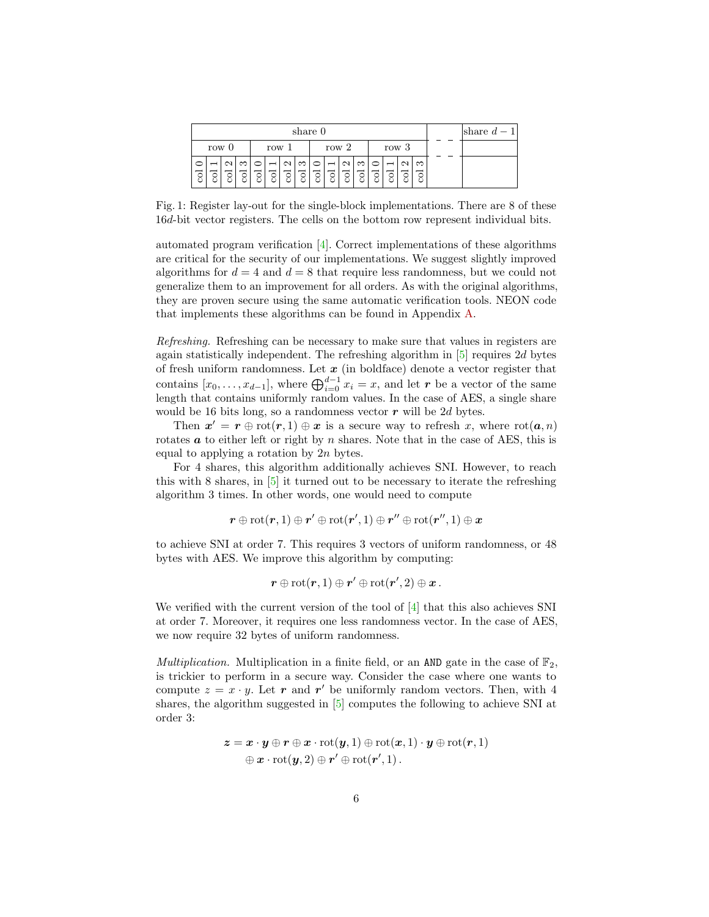|   | share 0 |  |          |       |   |                   |   |       |  |                   |          |                |   |  | share $d-1$ |  |  |
|---|---------|--|----------|-------|---|-------------------|---|-------|--|-------------------|----------|----------------|---|--|-------------|--|--|
|   | row $0$ |  |          | row 1 |   |                   |   | row 2 |  |                   |          | row 3          |   |  |             |  |  |
|   |         |  | $\infty$ |       |   | $\mathbf{\Omega}$ | S |       |  | $\mathbf{\Omega}$ | $\infty$ | $\overline{ }$ |   |  | က           |  |  |
| इ |         |  | g        | 8     | ਠ | ्र                | इ | ं     |  |                   | c        |                | g |  |             |  |  |

Fig. 1: Register lay-out for the single-block implementations. There are 8 of these 16d-bit vector registers. The cells on the bottom row represent individual bits.

automated program verification [\[4\]](#page-15-4). Correct implementations of these algorithms are critical for the security of our implementations. We suggest slightly improved algorithms for  $d = 4$  and  $d = 8$  that require less randomness, but we could not generalize them to an improvement for all orders. As with the original algorithms, they are proven secure using the same automatic verification tools. NEON code that implements these algorithms can be found in Appendix [A.](#page-19-0)

Refreshing. Refreshing can be necessary to make sure that values in registers are again statistically independent. The refreshing algorithm in [\[5\]](#page-15-0) requires 2d bytes of fresh uniform randomness. Let  $x$  (in boldface) denote a vector register that contains  $[x_0, \ldots, x_{d-1}]$ , where  $\bigoplus_{i=0}^{d-1} x_i = x$ , and let r be a vector of the same length that contains uniformly random values. In the case of AES, a single share would be 16 bits long, so a randomness vector  $r$  will be 2d bytes.

Then  $x' = r \oplus \text{rot}(r, 1) \oplus x$  is a secure way to refresh x, where  $\text{rot}(a, n)$ rotates  $\boldsymbol{a}$  to either left or right by  $n$  shares. Note that in the case of AES, this is equal to applying a rotation by 2n bytes.

For 4 shares, this algorithm additionally achieves SNI. However, to reach this with 8 shares, in [\[5\]](#page-15-0) it turned out to be necessary to iterate the refreshing algorithm 3 times. In other words, one would need to compute

$$
\boldsymbol{r} \oplus \text{rot}(\boldsymbol{r},1) \oplus \boldsymbol{r}' \oplus \text{rot}(\boldsymbol{r}',1) \oplus \boldsymbol{r}'' \oplus \text{rot}(\boldsymbol{r}'',1) \oplus \boldsymbol{x}
$$

to achieve SNI at order 7. This requires 3 vectors of uniform randomness, or 48 bytes with AES. We improve this algorithm by computing:

$$
\boldsymbol{r}\oplus\mathrm{rot}(\boldsymbol{r},1)\oplus\boldsymbol{r}'\oplus\mathrm{rot}(\boldsymbol{r}',2)\oplus\boldsymbol{x}\,.
$$

We verified with the current version of the tool of [\[4\]](#page-15-4) that this also achieves SNI at order 7. Moreover, it requires one less randomness vector. In the case of AES, we now require 32 bytes of uniform randomness.

*Multiplication.* Multiplication in a finite field, or an AND gate in the case of  $\mathbb{F}_2$ , is trickier to perform in a secure way. Consider the case where one wants to compute  $z = x \cdot y$ . Let r and r' be uniformly random vectors. Then, with 4 shares, the algorithm suggested in [\[5\]](#page-15-0) computes the following to achieve SNI at order 3:

$$
\begin{aligned} \mathbf{z} &= \mathbf{x} \cdot \mathbf{y} \oplus \mathbf{r} \oplus \mathbf{x} \cdot \mathrm{rot}(\mathbf{y}, 1) \oplus \mathrm{rot}(\mathbf{x}, 1) \cdot \mathbf{y} \oplus \mathrm{rot}(\mathbf{r}, 1) \\ &\quad \oplus \mathbf{x} \cdot \mathrm{rot}(\mathbf{y}, 2) \oplus \mathbf{r}' \oplus \mathrm{rot}(\mathbf{r}', 1) \,. \end{aligned}
$$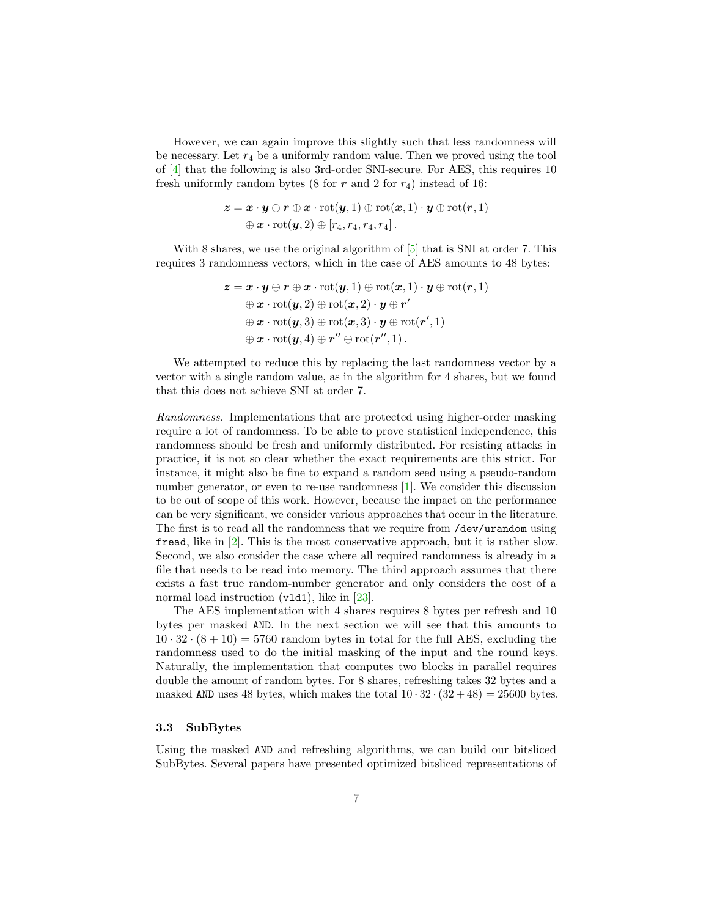However, we can again improve this slightly such that less randomness will be necessary. Let  $r_4$  be a uniformly random value. Then we proved using the tool of [\[4\]](#page-15-4) that the following is also 3rd-order SNI-secure. For AES, this requires 10 fresh uniformly random bytes (8 for  $r$  and 2 for  $r_4$ ) instead of 16:

$$
\begin{aligned} \boldsymbol{z} = \boldsymbol{x} \cdot \boldsymbol{y} \oplus \boldsymbol{r} \oplus \boldsymbol{x} \cdot \mathrm{rot}(\boldsymbol{y},1) \oplus \mathrm{rot}(\boldsymbol{x},1) \cdot \boldsymbol{y} \oplus \mathrm{rot}(\boldsymbol{r},1) \\ \oplus \boldsymbol{x} \cdot \mathrm{rot}(\boldsymbol{y},2) \oplus [r_4,r_4,r_4,r_4] \, . \end{aligned}
$$

With 8 shares, we use the original algorithm of  $[5]$  that is SNI at order 7. This requires 3 randomness vectors, which in the case of AES amounts to 48 bytes:

$$
\begin{aligned}\nz &= \boldsymbol{x} \cdot \boldsymbol{y} \oplus \boldsymbol{r} \oplus \boldsymbol{x} \cdot \mathrm{rot}(\boldsymbol{y},1) \oplus \mathrm{rot}(\boldsymbol{x},1) \cdot \boldsymbol{y} \oplus \mathrm{rot}(\boldsymbol{r},1) \\
&\quad \oplus \boldsymbol{x} \cdot \mathrm{rot}(\boldsymbol{y},2) \oplus \mathrm{rot}(\boldsymbol{x},2) \cdot \boldsymbol{y} \oplus \boldsymbol{r}' \\
&\quad \oplus \boldsymbol{x} \cdot \mathrm{rot}(\boldsymbol{y},3) \oplus \mathrm{rot}(\boldsymbol{x},3) \cdot \boldsymbol{y} \oplus \mathrm{rot}(\boldsymbol{r}',1) \\
&\quad \oplus \boldsymbol{x} \cdot \mathrm{rot}(\boldsymbol{y},4) \oplus \boldsymbol{r}'' \oplus \mathrm{rot}(\boldsymbol{r}'',1).\n\end{aligned}
$$

We attempted to reduce this by replacing the last randomness vector by a vector with a single random value, as in the algorithm for 4 shares, but we found that this does not achieve SNI at order 7.

Randomness. Implementations that are protected using higher-order masking require a lot of randomness. To be able to prove statistical independence, this randomness should be fresh and uniformly distributed. For resisting attacks in practice, it is not so clear whether the exact requirements are this strict. For instance, it might also be fine to expand a random seed using a pseudo-random number generator, or even to re-use randomness [\[1\]](#page-15-5). We consider this discussion to be out of scope of this work. However, because the impact on the performance can be very significant, we consider various approaches that occur in the literature. The first is to read all the randomness that we require from /dev/urandom using fread, like in [\[2\]](#page-15-2). This is the most conservative approach, but it is rather slow. Second, we also consider the case where all required randomness is already in a file that needs to be read into memory. The third approach assumes that there exists a fast true random-number generator and only considers the cost of a normal load instruction (v1d1), like in [\[23\]](#page-17-2).

The AES implementation with 4 shares requires 8 bytes per refresh and 10 bytes per masked AND. In the next section we will see that this amounts to  $10 \cdot 32 \cdot (8 + 10) = 5760$  random bytes in total for the full AES, excluding the randomness used to do the initial masking of the input and the round keys. Naturally, the implementation that computes two blocks in parallel requires double the amount of random bytes. For 8 shares, refreshing takes 32 bytes and a masked AND uses 48 bytes, which makes the total  $10 \cdot 32 \cdot (32 + 48) = 25600$  bytes.

### 3.3 SubBytes

Using the masked AND and refreshing algorithms, we can build our bitsliced SubBytes. Several papers have presented optimized bitsliced representations of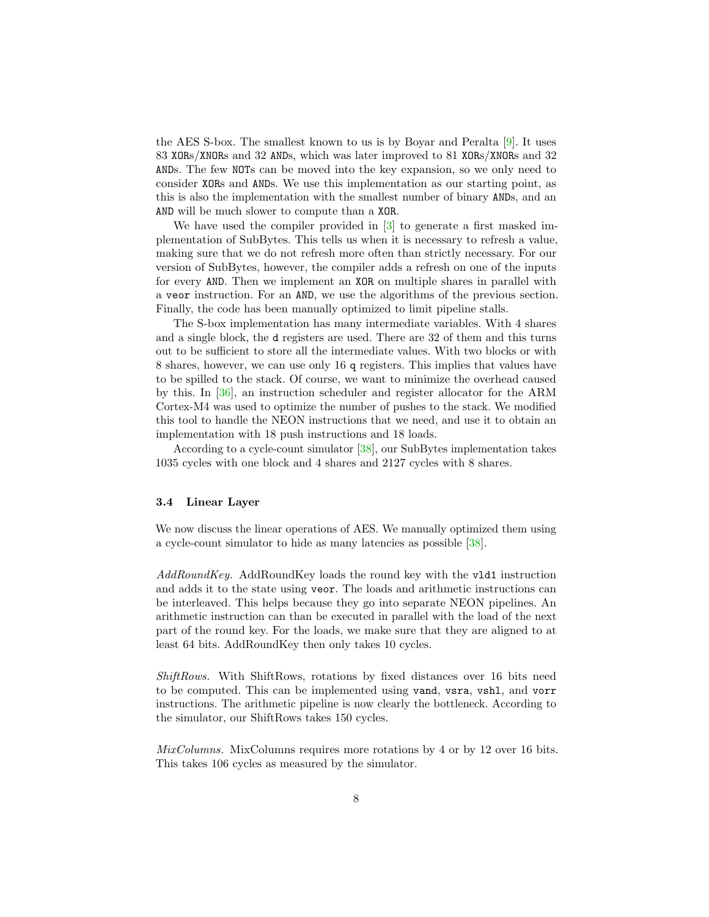the AES S-box. The smallest known to us is by Boyar and Peralta [\[9\]](#page-16-8). It uses 83 XORs/XNORs and 32 ANDs, which was later improved to 81 XORs/XNORs and 32 ANDs. The few NOTs can be moved into the key expansion, so we only need to consider XORs and ANDs. We use this implementation as our starting point, as this is also the implementation with the smallest number of binary ANDs, and an AND will be much slower to compute than a XOR.

We have used the compiler provided in [\[3\]](#page-15-1) to generate a first masked implementation of SubBytes. This tells us when it is necessary to refresh a value, making sure that we do not refresh more often than strictly necessary. For our version of SubBytes, however, the compiler adds a refresh on one of the inputs for every AND. Then we implement an XOR on multiple shares in parallel with a veor instruction. For an AND, we use the algorithms of the previous section. Finally, the code has been manually optimized to limit pipeline stalls.

The S-box implementation has many intermediate variables. With 4 shares and a single block, the d registers are used. There are 32 of them and this turns out to be sufficient to store all the intermediate values. With two blocks or with 8 shares, however, we can use only 16 q registers. This implies that values have to be spilled to the stack. Of course, we want to minimize the overhead caused by this. In [\[36\]](#page-18-1), an instruction scheduler and register allocator for the ARM Cortex-M4 was used to optimize the number of pushes to the stack. We modified this tool to handle the NEON instructions that we need, and use it to obtain an implementation with 18 push instructions and 18 loads.

According to a cycle-count simulator [\[38\]](#page-18-2), our SubBytes implementation takes 1035 cycles with one block and 4 shares and 2127 cycles with 8 shares.

### 3.4 Linear Layer

We now discuss the linear operations of AES. We manually optimized them using a cycle-count simulator to hide as many latencies as possible [\[38\]](#page-18-2).

AddRoundKey. AddRoundKey loads the round key with the vld1 instruction and adds it to the state using veor. The loads and arithmetic instructions can be interleaved. This helps because they go into separate NEON pipelines. An arithmetic instruction can than be executed in parallel with the load of the next part of the round key. For the loads, we make sure that they are aligned to at least 64 bits. AddRoundKey then only takes 10 cycles.

ShiftRows. With ShiftRows, rotations by fixed distances over 16 bits need to be computed. This can be implemented using vand, vsra, vshl, and vorr instructions. The arithmetic pipeline is now clearly the bottleneck. According to the simulator, our ShiftRows takes 150 cycles.

MixColumns. MixColumns requires more rotations by 4 or by 12 over 16 bits. This takes 106 cycles as measured by the simulator.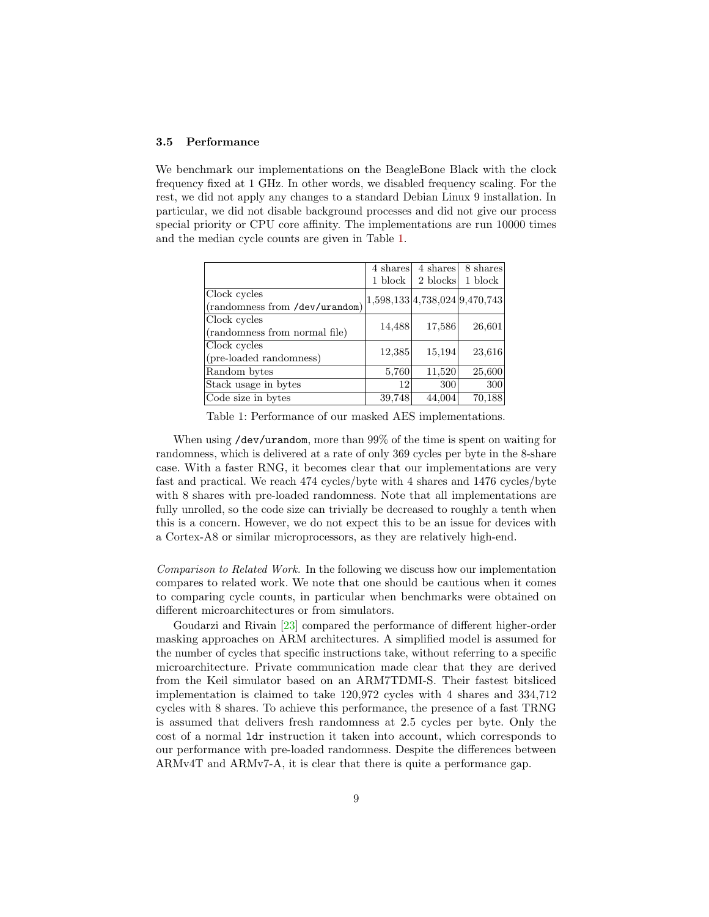#### 3.5 Performance

We benchmark our implementations on the BeagleBone Black with the clock frequency fixed at 1 GHz. In other words, we disabled frequency scaling. For the rest, we did not apply any changes to a standard Debian Linux 9 installation. In particular, we did not disable background processes and did not give our process special priority or CPU core affinity. The implementations are run 10000 times and the median cycle counts are given in Table [1.](#page-8-0)

<span id="page-8-0"></span>

|                                                | 4 shares                      | 4 shares | 8 shares |
|------------------------------------------------|-------------------------------|----------|----------|
|                                                | 1 block                       | 2 blocks | 1 block  |
| Clock cycles<br>(randomness from /dev/urandom) | 1,598,133 4,738,024 9,470,743 |          |          |
| Clock cycles<br>(randomness from normal file)  | 14,488                        | 17,586   | 26,601   |
| Clock cycles<br>(pre-loaded randomness)        | 12,385                        | 15,194   | 23,616   |
| Random bytes                                   | 5,760                         | 11,520   | 25,600   |
| Stack usage in bytes                           | 12                            | 300      | 300      |
| Code size in bytes                             | 39,748                        | 44,004   | 70,188   |

Table 1: Performance of our masked AES implementations.

When using /dev/urandom, more than 99% of the time is spent on waiting for randomness, which is delivered at a rate of only 369 cycles per byte in the 8-share case. With a faster RNG, it becomes clear that our implementations are very fast and practical. We reach 474 cycles/byte with 4 shares and 1476 cycles/byte with 8 shares with pre-loaded randomness. Note that all implementations are fully unrolled, so the code size can trivially be decreased to roughly a tenth when this is a concern. However, we do not expect this to be an issue for devices with a Cortex-A8 or similar microprocessors, as they are relatively high-end.

Comparison to Related Work. In the following we discuss how our implementation compares to related work. We note that one should be cautious when it comes to comparing cycle counts, in particular when benchmarks were obtained on different microarchitectures or from simulators.

Goudarzi and Rivain [\[23\]](#page-17-2) compared the performance of different higher-order masking approaches on ARM architectures. A simplified model is assumed for the number of cycles that specific instructions take, without referring to a specific microarchitecture. Private communication made clear that they are derived from the Keil simulator based on an ARM7TDMI-S. Their fastest bitsliced implementation is claimed to take 120,972 cycles with 4 shares and 334,712 cycles with 8 shares. To achieve this performance, the presence of a fast TRNG is assumed that delivers fresh randomness at 2.5 cycles per byte. Only the cost of a normal ldr instruction it taken into account, which corresponds to our performance with pre-loaded randomness. Despite the differences between ARMv4T and ARMv7-A, it is clear that there is quite a performance gap.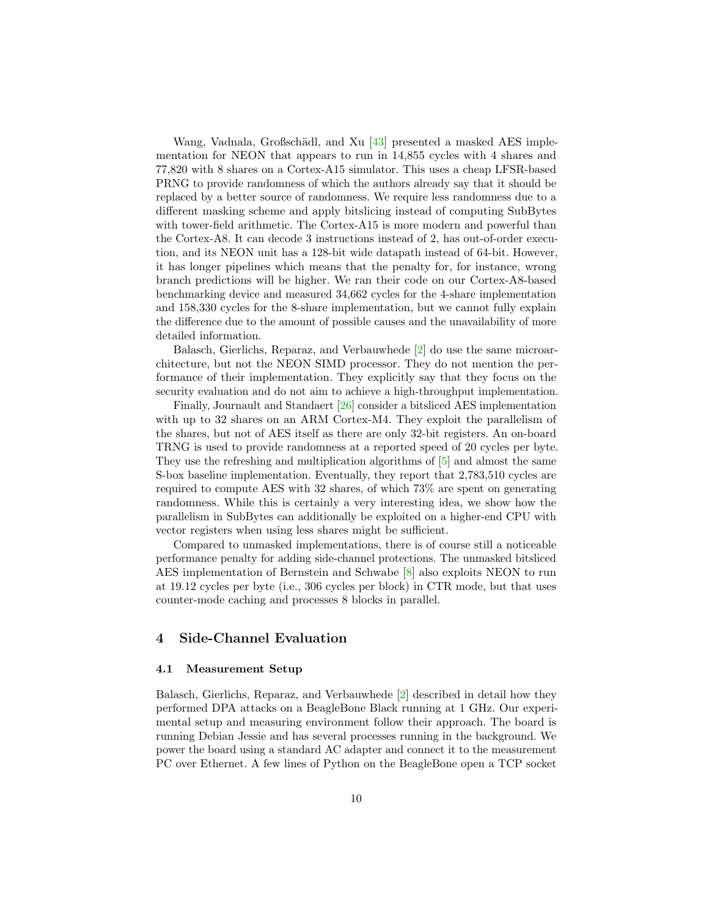Wang, Vadnala, Großschädl, and Xu [\[43\]](#page-18-3) presented a masked AES implementation for NEON that appears to run in 14,855 cycles with 4 shares and 77,820 with 8 shares on a Cortex-A15 simulator. This uses a cheap LFSR-based PRNG to provide randomness of which the authors already say that it should be replaced by a better source of randomness. We require less randomness due to a different masking scheme and apply bitslicing instead of computing SubBytes with tower-field arithmetic. The Cortex-A15 is more modern and powerful than the Cortex-A8. It can decode 3 instructions instead of 2, has out-of-order execution, and its NEON unit has a 128-bit wide datapath instead of 64-bit. However, it has longer pipelines which means that the penalty for, for instance, wrong branch predictions will be higher. We ran their code on our Cortex-A8-based benchmarking device and measured 34,662 cycles for the 4-share implementation and 158,330 cycles for the 8-share implementation, but we cannot fully explain the difference due to the amount of possible causes and the unavailability of more detailed information.

Balasch, Gierlichs, Reparaz, and Verbauwhede [\[2\]](#page-15-2) do use the same microarchitecture, but not the NEON SIMD processor. They do not mention the performance of their implementation. They explicitly say that they focus on the security evaluation and do not aim to achieve a high-throughput implementation.

Finally, Journault and Standaert [\[26\]](#page-17-0) consider a bitsliced AES implementation with up to 32 shares on an ARM Cortex-M4. They exploit the parallelism of the shares, but not of AES itself as there are only 32-bit registers. An on-board TRNG is used to provide randomness at a reported speed of 20 cycles per byte. They use the refreshing and multiplication algorithms of [\[5\]](#page-15-0) and almost the same S-box baseline implementation. Eventually, they report that 2,783,510 cycles are required to compute AES with 32 shares, of which 73% are spent on generating randomness. While this is certainly a very interesting idea, we show how the parallelism in SubBytes can additionally be exploited on a higher-end CPU with vector registers when using less shares might be sufficient.

Compared to unmasked implementations, there is of course still a noticeable performance penalty for adding side-channel protections. The unmasked bitsliced AES implementation of Bernstein and Schwabe [\[8\]](#page-16-7) also exploits NEON to run at 19.12 cycles per byte (i.e., 306 cycles per block) in CTR mode, but that uses counter-mode caching and processes 8 blocks in parallel.

### 4 Side-Channel Evaluation

#### 4.1 Measurement Setup

Balasch, Gierlichs, Reparaz, and Verbauwhede [\[2\]](#page-15-2) described in detail how they performed DPA attacks on a BeagleBone Black running at 1 GHz. Our experimental setup and measuring environment follow their approach. The board is running Debian Jessie and has several processes running in the background. We power the board using a standard AC adapter and connect it to the measurement PC over Ethernet. A few lines of Python on the BeagleBone open a TCP socket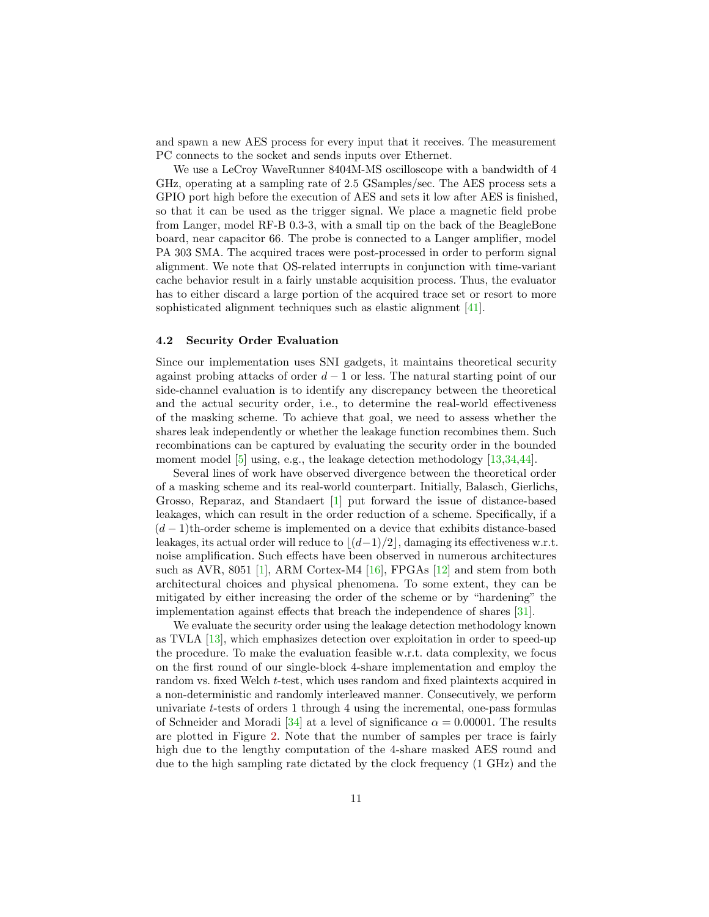and spawn a new AES process for every input that it receives. The measurement PC connects to the socket and sends inputs over Ethernet.

We use a LeCroy WaveRunner 8404M-MS oscilloscope with a bandwidth of 4 GHz, operating at a sampling rate of 2.5 GSamples/sec. The AES process sets a GPIO port high before the execution of AES and sets it low after AES is finished, so that it can be used as the trigger signal. We place a magnetic field probe from Langer, model RF-B 0.3-3, with a small tip on the back of the BeagleBone board, near capacitor 66. The probe is connected to a Langer amplifier, model PA 303 SMA. The acquired traces were post-processed in order to perform signal alignment. We note that OS-related interrupts in conjunction with time-variant cache behavior result in a fairly unstable acquisition process. Thus, the evaluator has to either discard a large portion of the acquired trace set or resort to more sophisticated alignment techniques such as elastic alignment [\[41\]](#page-18-4).

#### 4.2 Security Order Evaluation

Since our implementation uses SNI gadgets, it maintains theoretical security against probing attacks of order  $d-1$  or less. The natural starting point of our side-channel evaluation is to identify any discrepancy between the theoretical and the actual security order, i.e., to determine the real-world effectiveness of the masking scheme. To achieve that goal, we need to assess whether the shares leak independently or whether the leakage function recombines them. Such recombinations can be captured by evaluating the security order in the bounded moment model [\[5\]](#page-15-0) using, e.g., the leakage detection methodology [\[13](#page-16-2)[,34,](#page-18-5)[44\]](#page-18-6).

Several lines of work have observed divergence between the theoretical order of a masking scheme and its real-world counterpart. Initially, Balasch, Gierlichs, Grosso, Reparaz, and Standaert [\[1\]](#page-15-5) put forward the issue of distance-based leakages, which can result in the order reduction of a scheme. Specifically, if a  $(d-1)$ th-order scheme is implemented on a device that exhibits distance-based leakages, its actual order will reduce to  $\lfloor (d-1)/2 \rfloor$ , damaging its effectiveness w.r.t. noise amplification. Such effects have been observed in numerous architectures such as AVR, 8051 [\[1\]](#page-15-5), ARM Cortex-M4 [\[16\]](#page-16-9), FPGAs [\[12\]](#page-16-10) and stem from both architectural choices and physical phenomena. To some extent, they can be mitigated by either increasing the order of the scheme or by "hardening" the implementation against effects that breach the independence of shares [\[31\]](#page-17-10).

We evaluate the security order using the leakage detection methodology known as TVLA [\[13\]](#page-16-2), which emphasizes detection over exploitation in order to speed-up the procedure. To make the evaluation feasible w.r.t. data complexity, we focus on the first round of our single-block 4-share implementation and employ the random vs. fixed Welch t-test, which uses random and fixed plaintexts acquired in a non-deterministic and randomly interleaved manner. Consecutively, we perform univariate  $t$ -tests of orders 1 through 4 using the incremental, one-pass formulas of Schneider and Moradi [\[34\]](#page-18-5) at a level of significance  $\alpha = 0.00001$ . The results are plotted in Figure [2.](#page-11-0) Note that the number of samples per trace is fairly high due to the lengthy computation of the 4-share masked AES round and due to the high sampling rate dictated by the clock frequency (1 GHz) and the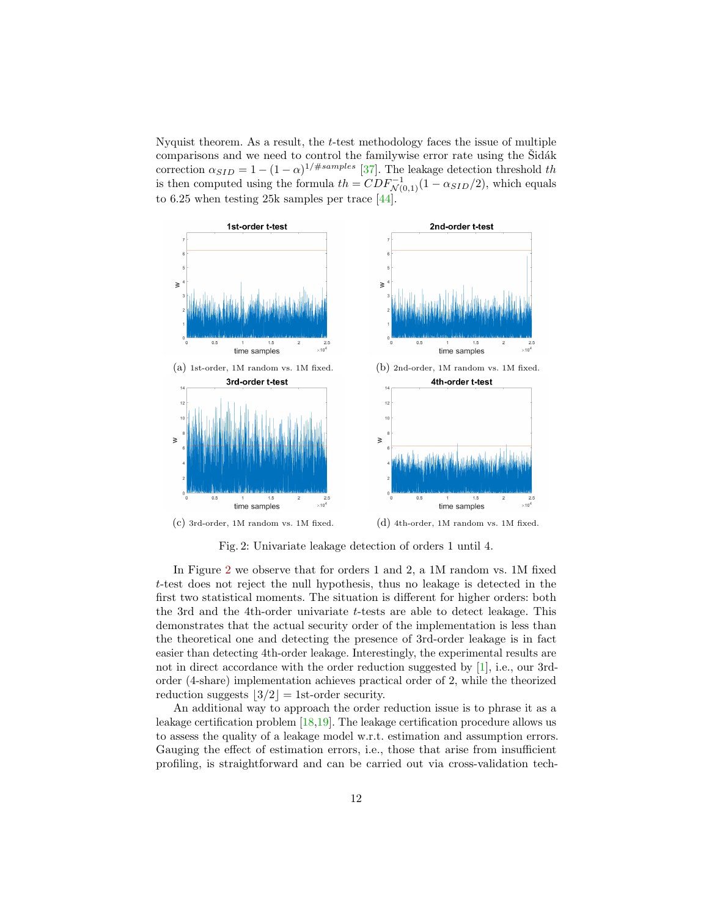Nyquist theorem. As a result, the t-test methodology faces the issue of multiple comparisons and we need to control the familywise error rate using the Sidák correction  $\alpha_{SID} = 1 - (1 - \alpha)^{1/\#samples}$  [\[37\]](#page-18-7). The leakage detection threshold th is then computed using the formula  $th = CDF_{\mathcal{N}(0,1)}^{-1}(1 - \alpha_{SID}/2)$ , which equals to 6.25 when testing 25k samples per trace [\[44\]](#page-18-6).

<span id="page-11-0"></span>

Fig. 2: Univariate leakage detection of orders 1 until 4.

In Figure [2](#page-11-0) we observe that for orders 1 and 2, a 1M random vs. 1M fixed t-test does not reject the null hypothesis, thus no leakage is detected in the first two statistical moments. The situation is different for higher orders: both the 3rd and the 4th-order univariate t-tests are able to detect leakage. This demonstrates that the actual security order of the implementation is less than the theoretical one and detecting the presence of 3rd-order leakage is in fact easier than detecting 4th-order leakage. Interestingly, the experimental results are not in direct accordance with the order reduction suggested by [\[1\]](#page-15-5), i.e., our 3rdorder (4-share) implementation achieves practical order of 2, while the theorized reduction suggests  $|3/2|$  = 1st-order security.

An additional way to approach the order reduction issue is to phrase it as a leakage certification problem [\[18](#page-16-3)[,19\]](#page-16-11). The leakage certification procedure allows us to assess the quality of a leakage model w.r.t. estimation and assumption errors. Gauging the effect of estimation errors, i.e., those that arise from insufficient profiling, is straightforward and can be carried out via cross-validation tech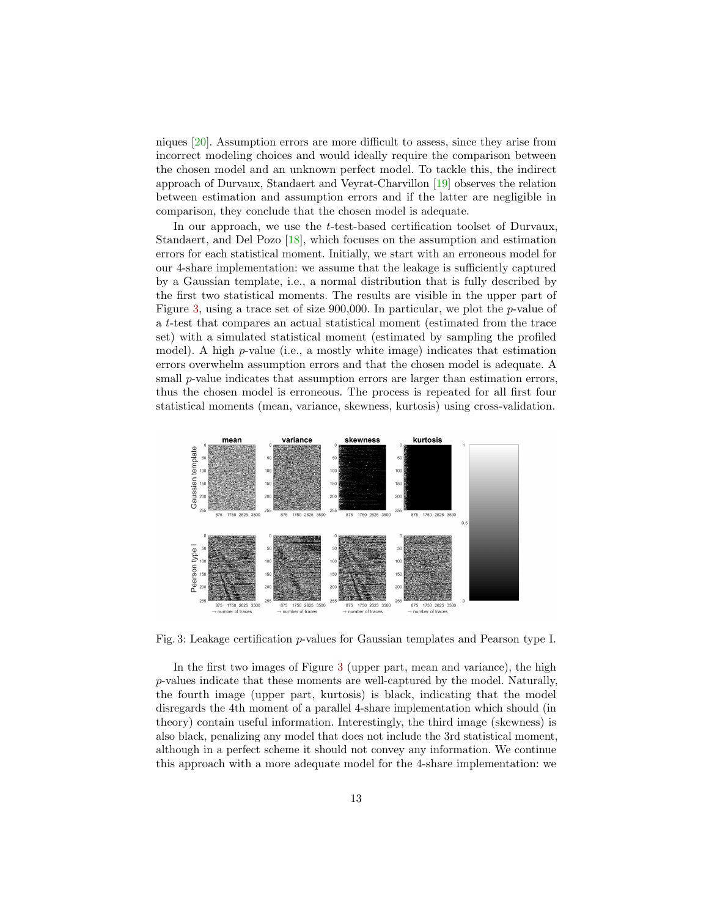niques [\[20\]](#page-16-12). Assumption errors are more difficult to assess, since they arise from incorrect modeling choices and would ideally require the comparison between the chosen model and an unknown perfect model. To tackle this, the indirect approach of Durvaux, Standaert and Veyrat-Charvillon [\[19\]](#page-16-11) observes the relation between estimation and assumption errors and if the latter are negligible in comparison, they conclude that the chosen model is adequate.

In our approach, we use the t-test-based certification toolset of Durvaux, Standaert, and Del Pozo [\[18\]](#page-16-3), which focuses on the assumption and estimation errors for each statistical moment. Initially, we start with an erroneous model for our 4-share implementation: we assume that the leakage is sufficiently captured by a Gaussian template, i.e., a normal distribution that is fully described by the first two statistical moments. The results are visible in the upper part of Figure [3,](#page-12-0) using a trace set of size  $900,000$ . In particular, we plot the *p*-value of a t-test that compares an actual statistical moment (estimated from the trace set) with a simulated statistical moment (estimated by sampling the profiled model). A high  $p$ -value (i.e., a mostly white image) indicates that estimation errors overwhelm assumption errors and that the chosen model is adequate. A small  $p$ -value indicates that assumption errors are larger than estimation errors, thus the chosen model is erroneous. The process is repeated for all first four statistical moments (mean, variance, skewness, kurtosis) using cross-validation.

<span id="page-12-0"></span>

Fig. 3: Leakage certification p-values for Gaussian templates and Pearson type I.

In the first two images of Figure [3](#page-12-0) (upper part, mean and variance), the high p-values indicate that these moments are well-captured by the model. Naturally, the fourth image (upper part, kurtosis) is black, indicating that the model disregards the 4th moment of a parallel 4-share implementation which should (in theory) contain useful information. Interestingly, the third image (skewness) is also black, penalizing any model that does not include the 3rd statistical moment, although in a perfect scheme it should not convey any information. We continue this approach with a more adequate model for the 4-share implementation: we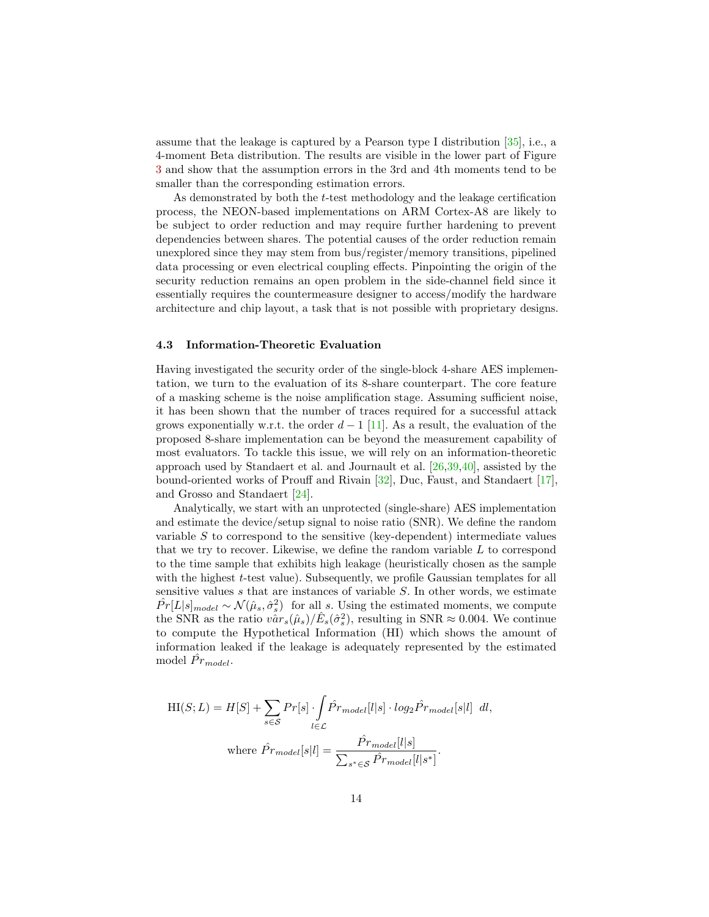assume that the leakage is captured by a Pearson type I distribution [\[35\]](#page-18-8), i.e., a 4-moment Beta distribution. The results are visible in the lower part of Figure [3](#page-12-0) and show that the assumption errors in the 3rd and 4th moments tend to be smaller than the corresponding estimation errors.

As demonstrated by both the t-test methodology and the leakage certification process, the NEON-based implementations on ARM Cortex-A8 are likely to be subject to order reduction and may require further hardening to prevent dependencies between shares. The potential causes of the order reduction remain unexplored since they may stem from bus/register/memory transitions, pipelined data processing or even electrical coupling effects. Pinpointing the origin of the security reduction remains an open problem in the side-channel field since it essentially requires the countermeasure designer to access/modify the hardware architecture and chip layout, a task that is not possible with proprietary designs.

#### 4.3 Information-Theoretic Evaluation

Having investigated the security order of the single-block 4-share AES implementation, we turn to the evaluation of its 8-share counterpart. The core feature of a masking scheme is the noise amplification stage. Assuming sufficient noise, it has been shown that the number of traces required for a successful attack grows exponentially w.r.t. the order  $d-1$  [\[11\]](#page-16-1). As a result, the evaluation of the proposed 8-share implementation can be beyond the measurement capability of most evaluators. To tackle this issue, we will rely on an information-theoretic approach used by Standaert et al. and Journault et al. [\[26,](#page-17-0)[39](#page-18-9)[,40\]](#page-18-10), assisted by the bound-oriented works of Prouff and Rivain [\[32\]](#page-17-9), Duc, Faust, and Standaert [\[17\]](#page-16-4), and Grosso and Standaert [\[24\]](#page-17-11).

Analytically, we start with an unprotected (single-share) AES implementation and estimate the device/setup signal to noise ratio (SNR). We define the random variable S to correspond to the sensitive (key-dependent) intermediate values that we try to recover. Likewise, we define the random variable  $L$  to correspond to the time sample that exhibits high leakage (heuristically chosen as the sample with the highest  $t$ -test value). Subsequently, we profile Gaussian templates for all sensitive values  $s$  that are instances of variable  $S$ . In other words, we estimate  $\hat{Pr}[L|s]_{model} \sim \mathcal{N}(\hat{\mu}_s, \hat{\sigma}_s^2)$  for all s. Using the estimated moments, we compute the SNR as the ratio  $v\hat{a}r_s(\hat{\mu}_s)/\hat{E}_s(\hat{\sigma}_s^2)$ , resulting in SNR  $\approx 0.004$ . We continue to compute the Hypothetical Information (HI) which shows the amount of information leaked if the leakage is adequately represented by the estimated model  $\hat{Pr}_{model}$ .

$$
HI(S; L) = H[S] + \sum_{s \in S} Pr[s] \cdot \int_{l \in \mathcal{L}} \hat{Pr}_{model}[l|s] \cdot log_2 \hat{Pr}_{model}[s|l] \, dl,
$$
\n
$$
\text{where } \hat{Pr}_{model}[s|l] = \frac{\hat{Pr}_{model}[l|s]}{\sum_{s^* \in \mathcal{S}} \hat{Pr}_{model}[l|s^*]}.
$$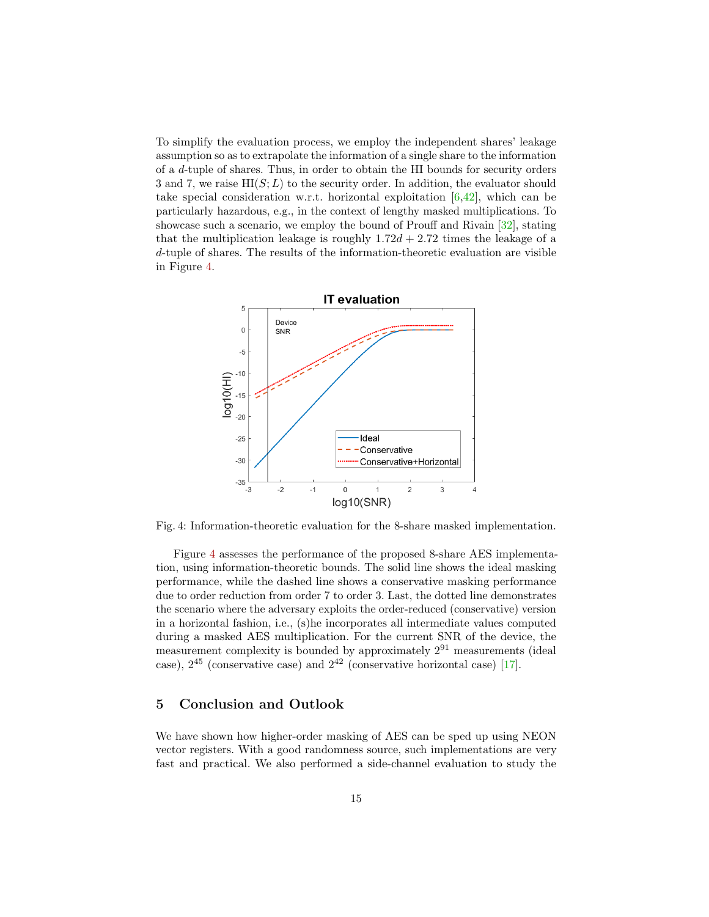To simplify the evaluation process, we employ the independent shares' leakage assumption so as to extrapolate the information of a single share to the information of a d-tuple of shares. Thus, in order to obtain the HI bounds for security orders 3 and 7, we raise  $HI(S; L)$  to the security order. In addition, the evaluator should take special consideration w.r.t. horizontal exploitation  $[6,42]$  $[6,42]$ , which can be particularly hazardous, e.g., in the context of lengthy masked multiplications. To showcase such a scenario, we employ the bound of Prouff and Rivain [\[32\]](#page-17-9), stating that the multiplication leakage is roughly  $1.72d + 2.72$  times the leakage of a d-tuple of shares. The results of the information-theoretic evaluation are visible in Figure [4.](#page-14-0)

<span id="page-14-0"></span>

Fig. 4: Information-theoretic evaluation for the 8-share masked implementation.

Figure [4](#page-14-0) assesses the performance of the proposed 8-share AES implementation, using information-theoretic bounds. The solid line shows the ideal masking performance, while the dashed line shows a conservative masking performance due to order reduction from order 7 to order 3. Last, the dotted line demonstrates the scenario where the adversary exploits the order-reduced (conservative) version in a horizontal fashion, i.e., (s)he incorporates all intermediate values computed during a masked AES multiplication. For the current SNR of the device, the measurement complexity is bounded by approximately  $2^{91}$  measurements (ideal case),  $2^{45}$  (conservative case) and  $2^{42}$  (conservative horizontal case) [\[17\]](#page-16-4).

### 5 Conclusion and Outlook

We have shown how higher-order masking of AES can be sped up using NEON vector registers. With a good randomness source, such implementations are very fast and practical. We also performed a side-channel evaluation to study the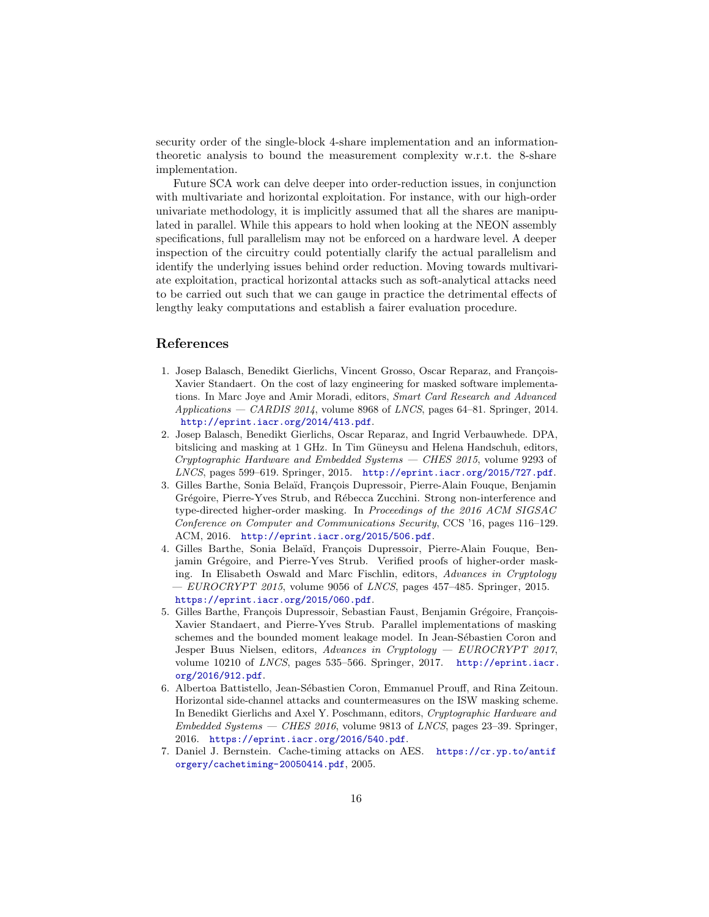security order of the single-block 4-share implementation and an informationtheoretic analysis to bound the measurement complexity w.r.t. the 8-share implementation.

Future SCA work can delve deeper into order-reduction issues, in conjunction with multivariate and horizontal exploitation. For instance, with our high-order univariate methodology, it is implicitly assumed that all the shares are manipulated in parallel. While this appears to hold when looking at the NEON assembly specifications, full parallelism may not be enforced on a hardware level. A deeper inspection of the circuitry could potentially clarify the actual parallelism and identify the underlying issues behind order reduction. Moving towards multivariate exploitation, practical horizontal attacks such as soft-analytical attacks need to be carried out such that we can gauge in practice the detrimental effects of lengthy leaky computations and establish a fairer evaluation procedure.

### References

- <span id="page-15-5"></span>1. Josep Balasch, Benedikt Gierlichs, Vincent Grosso, Oscar Reparaz, and François-Xavier Standaert. On the cost of lazy engineering for masked software implementations. In Marc Joye and Amir Moradi, editors, Smart Card Research and Advanced  $Applications - CARDIS 2014$ , volume 8968 of *LNCS*, pages 64–81. Springer, 2014. <http://eprint.iacr.org/2014/413.pdf>.
- <span id="page-15-2"></span>2. Josep Balasch, Benedikt Gierlichs, Oscar Reparaz, and Ingrid Verbauwhede. DPA, bitslicing and masking at 1 GHz. In Tim Güneysu and Helena Handschuh, editors, Cryptographic Hardware and Embedded Systems — CHES 2015, volume 9293 of LNCS, pages 599–619. Springer, 2015. <http://eprint.iacr.org/2015/727.pdf>.
- <span id="page-15-1"></span>3. Gilles Barthe, Sonia Belaïd, François Dupressoir, Pierre-Alain Fouque, Benjamin Grégoire, Pierre-Yves Strub, and Rébecca Zucchini. Strong non-interference and type-directed higher-order masking. In Proceedings of the 2016 ACM SIGSAC Conference on Computer and Communications Security, CCS '16, pages 116–129. ACM, 2016. <http://eprint.iacr.org/2015/506.pdf>.
- <span id="page-15-4"></span>4. Gilles Barthe, Sonia Belaïd, François Dupressoir, Pierre-Alain Fouque, Benjamin Grégoire, and Pierre-Yves Strub. Verified proofs of higher-order masking. In Elisabeth Oswald and Marc Fischlin, editors, Advances in Cryptology  $EUROCRYPT 2015$ , volume 9056 of *LNCS*, pages 457–485. Springer, 2015. <https://eprint.iacr.org/2015/060.pdf>.
- <span id="page-15-0"></span>5. Gilles Barthe, François Dupressoir, Sebastian Faust, Benjamin Grégoire, François-Xavier Standaert, and Pierre-Yves Strub. Parallel implementations of masking schemes and the bounded moment leakage model. In Jean-Sébastien Coron and Jesper Buus Nielsen, editors, Advances in Cryptology — EUROCRYPT 2017, volume 10210 of LNCS, pages 535–566. Springer, 2017. [http://eprint.iacr.](http://eprint.iacr.org/2016/912.pdf) [org/2016/912.pdf](http://eprint.iacr.org/2016/912.pdf).
- <span id="page-15-6"></span>6. Albertoa Battistello, Jean-Sébastien Coron, Emmanuel Prouff, and Rina Zeitoun. Horizontal side-channel attacks and countermeasures on the ISW masking scheme. In Benedikt Gierlichs and Axel Y. Poschmann, editors, Cryptographic Hardware and Embedded Systems — CHES 2016, volume 9813 of LNCS, pages 23–39. Springer, 2016. <https://eprint.iacr.org/2016/540.pdf>.
- <span id="page-15-3"></span>7. Daniel J. Bernstein. Cache-timing attacks on AES. [https://cr.yp.to/antif](https://cr.yp.to/antiforgery/cachetiming-20050414.pdf) [orgery/cachetiming-20050414.pdf](https://cr.yp.to/antiforgery/cachetiming-20050414.pdf), 2005.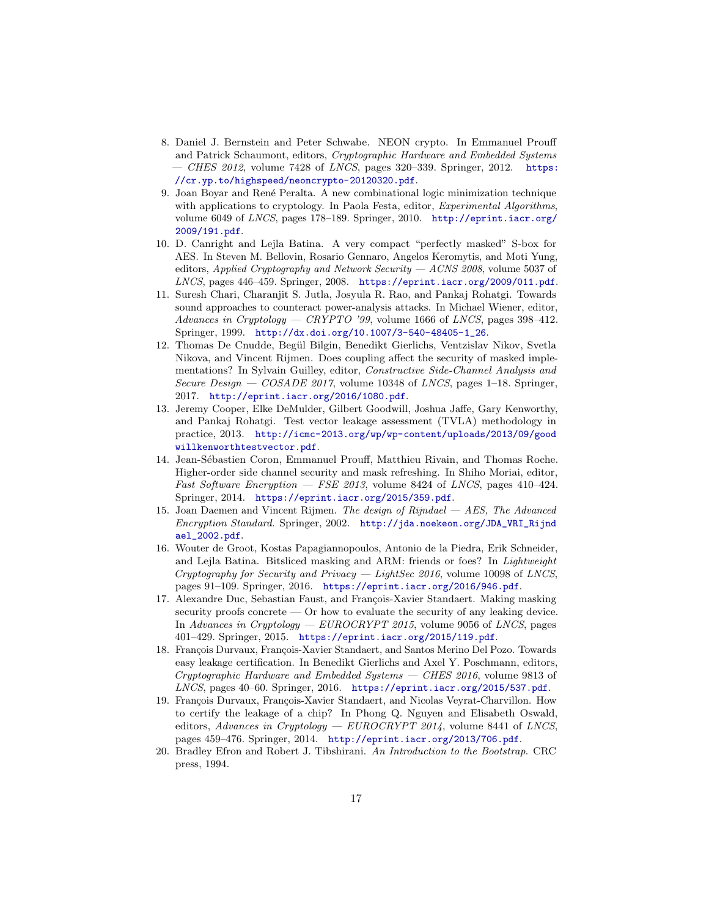- <span id="page-16-7"></span>8. Daniel J. Bernstein and Peter Schwabe. NEON crypto. In Emmanuel Prouff and Patrick Schaumont, editors, Cryptographic Hardware and Embedded Systems  $-$  CHES 2012, volume 7428 of LNCS, pages 320–339. Springer, 2012. [https:](https://cr.yp.to/highspeed/neoncrypto-20120320.pdf) [//cr.yp.to/highspeed/neoncrypto-20120320.pdf](https://cr.yp.to/highspeed/neoncrypto-20120320.pdf).
- <span id="page-16-8"></span>9. Joan Boyar and Ren´e Peralta. A new combinational logic minimization technique with applications to cryptology. In Paola Festa, editor, *Experimental Algorithms*, volume 6049 of LNCS, pages 178–189. Springer, 2010. [http://eprint.iacr.org/](http://eprint.iacr.org/2009/191.pdf) [2009/191.pdf](http://eprint.iacr.org/2009/191.pdf).
- <span id="page-16-5"></span>10. D. Canright and Lejla Batina. A very compact "perfectly masked" S-box for AES. In Steven M. Bellovin, Rosario Gennaro, Angelos Keromytis, and Moti Yung, editors, Applied Cryptography and Network Security  $-$  ACNS 2008, volume 5037 of LNCS, pages 446–459. Springer, 2008. <https://eprint.iacr.org/2009/011.pdf>.
- <span id="page-16-1"></span>11. Suresh Chari, Charanjit S. Jutla, Josyula R. Rao, and Pankaj Rohatgi. Towards sound approaches to counteract power-analysis attacks. In Michael Wiener, editor, Advances in Cryptology — CRYPTO '99, volume 1666 of LNCS, pages 398–412. Springer, 1999. [http://dx.doi.org/10.1007/3-540-48405-1\\_26](http://dx.doi.org/10.1007/3-540-48405-1_26).
- <span id="page-16-10"></span>12. Thomas De Cnudde, Begül Bilgin, Benedikt Gierlichs, Ventzislav Nikov, Svetla Nikova, and Vincent Rijmen. Does coupling affect the security of masked implementations? In Sylvain Guilley, editor, Constructive Side-Channel Analysis and Secure Design  $-$  COSADE 2017, volume 10348 of LNCS, pages 1–18. Springer, 2017. <http://eprint.iacr.org/2016/1080.pdf>.
- <span id="page-16-2"></span>13. Jeremy Cooper, Elke DeMulder, Gilbert Goodwill, Joshua Jaffe, Gary Kenworthy, and Pankaj Rohatgi. Test vector leakage assessment (TVLA) methodology in practice, 2013. [http://icmc-2013.org/wp/wp-content/uploads/2013/09/good](http://icmc-2013.org/wp/wp-content/uploads/2013/09/goodwillkenworthtestvector.pdf) [willkenworthtestvector.pdf](http://icmc-2013.org/wp/wp-content/uploads/2013/09/goodwillkenworthtestvector.pdf).
- <span id="page-16-6"></span>14. Jean-Sébastien Coron, Emmanuel Prouff, Matthieu Rivain, and Thomas Roche. Higher-order side channel security and mask refreshing. In Shiho Moriai, editor, Fast Software Encryption  $-$  FSE 2013, volume 8424 of LNCS, pages 410–424. Springer, 2014. <https://eprint.iacr.org/2015/359.pdf>.
- <span id="page-16-0"></span>15. Joan Daemen and Vincent Rijmen. The design of  $Rijndael - AES$ , The Advanced Encryption Standard. Springer, 2002. [http://jda.noekeon.org/JDA\\_VRI\\_Rijnd](http://jda.noekeon.org/JDA_VRI_Rijndael_2002.pdf) [ael\\_2002.pdf](http://jda.noekeon.org/JDA_VRI_Rijndael_2002.pdf).
- <span id="page-16-9"></span>16. Wouter de Groot, Kostas Papagiannopoulos, Antonio de la Piedra, Erik Schneider, and Lejla Batina. Bitsliced masking and ARM: friends or foes? In Lightweight Cryptography for Security and Privacy — LightSec 2016, volume 10098 of LNCS, pages 91–109. Springer, 2016. <https://eprint.iacr.org/2016/946.pdf>.
- <span id="page-16-4"></span>17. Alexandre Duc, Sebastian Faust, and François-Xavier Standaert. Making masking security proofs concrete — Or how to evaluate the security of any leaking device. In Advances in Cryptology — EUROCRYPT 2015, volume 9056 of LNCS, pages 401–429. Springer, 2015. <https://eprint.iacr.org/2015/119.pdf>.
- <span id="page-16-3"></span>18. François Durvaux, François-Xavier Standaert, and Santos Merino Del Pozo. Towards easy leakage certification. In Benedikt Gierlichs and Axel Y. Poschmann, editors, Cryptographic Hardware and Embedded Systems — CHES 2016, volume 9813 of LNCS, pages 40–60. Springer, 2016. <https://eprint.iacr.org/2015/537.pdf>.
- <span id="page-16-11"></span>19. François Durvaux, François-Xavier Standaert, and Nicolas Veyrat-Charvillon. How to certify the leakage of a chip? In Phong Q. Nguyen and Elisabeth Oswald, editors, Advances in Cryptology — EUROCRYPT 2014, volume 8441 of LNCS, pages 459–476. Springer, 2014. <http://eprint.iacr.org/2013/706.pdf>.
- <span id="page-16-12"></span>20. Bradley Efron and Robert J. Tibshirani. An Introduction to the Bootstrap. CRC press, 1994.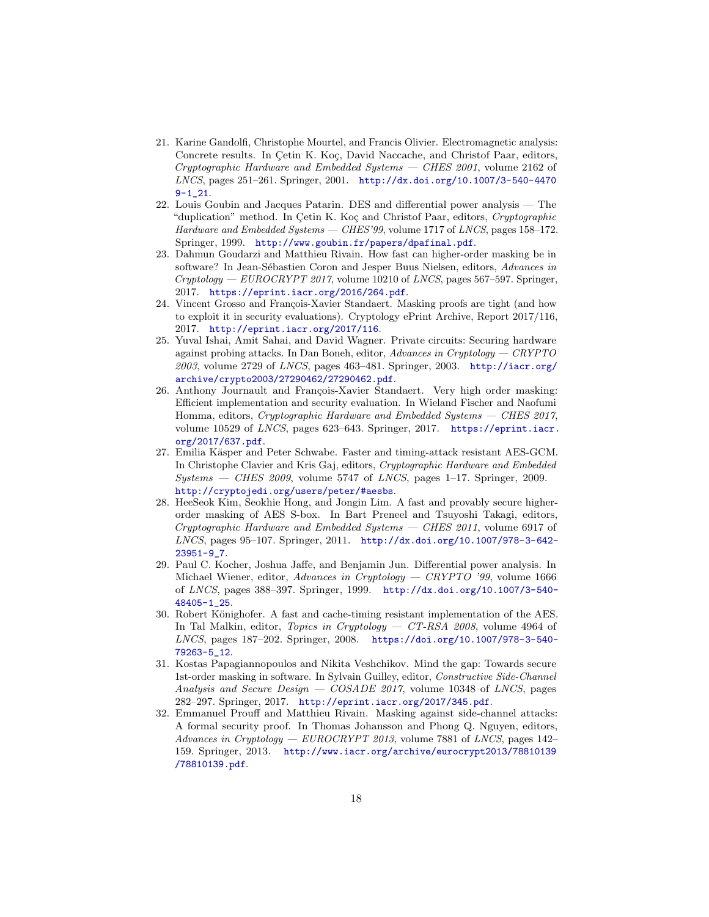- <span id="page-17-5"></span>21. Karine Gandolfi, Christophe Mourtel, and Francis Olivier. Electromagnetic analysis: Concrete results. In Cetin K. Koç, David Naccache, and Christof Paar, editors, Cryptographic Hardware and Embedded Systems — CHES 2001, volume 2162 of LNCS, pages 251–261. Springer, 2001. [http://dx.doi.org/10.1007/3-540-4470](http://dx.doi.org/10.1007/3-540-44709-1_21)  $9 - 1 - 21$ .
- <span id="page-17-1"></span>22. Louis Goubin and Jacques Patarin. DES and differential power analysis — The "duplication" method. In Cetin K. Koç and Christof Paar, editors, Cryptographic Hardware and Embedded Systems — CHES'99, volume 1717 of LNCS, pages 158–172. Springer, 1999. <http://www.goubin.fr/papers/dpafinal.pdf>.
- <span id="page-17-2"></span>23. Dahmun Goudarzi and Matthieu Rivain. How fast can higher-order masking be in software? In Jean-Sébastien Coron and Jesper Buus Nielsen, editors, Advances in  $Cryptology - EUROCRYPT 2017$ , volume 10210 of *LNCS*, pages 567–597. Springer, 2017. <https://eprint.iacr.org/2016/264.pdf>.
- <span id="page-17-11"></span>24. Vincent Grosso and François-Xavier Standaert. Masking proofs are tight (and how to exploit it in security evaluations). Cryptology ePrint Archive, Report 2017/116, 2017. <http://eprint.iacr.org/2017/116>.
- <span id="page-17-7"></span>25. Yuval Ishai, Amit Sahai, and David Wagner. Private circuits: Securing hardware against probing attacks. In Dan Boneh, editor, Advances in Cryptology — CRYPTO 2003, volume 2729 of LNCS, pages 463–481. Springer, 2003. [http://iacr.org/](http://iacr.org/archive/crypto2003/27290462/27290462.pdf) [archive/crypto2003/27290462/27290462.pdf](http://iacr.org/archive/crypto2003/27290462/27290462.pdf).
- <span id="page-17-0"></span>26. Anthony Journault and François-Xavier Standaert. Very high order masking: Efficient implementation and security evaluation. In Wieland Fischer and Naofumi Homma, editors, Cryptographic Hardware and Embedded Systems — CHES 2017, volume 10529 of LNCS, pages 623–643. Springer, 2017. [https://eprint.iacr.](https://eprint.iacr.org/2017/637.pdf) [org/2017/637.pdf](https://eprint.iacr.org/2017/637.pdf).
- <span id="page-17-3"></span>27. Emilia Käsper and Peter Schwabe. Faster and timing-attack resistant AES-GCM. In Christophe Clavier and Kris Gaj, editors, Cryptographic Hardware and Embedded  $Systems - CHES 2009$ , volume 5747 of *LNCS*, pages 1–17. Springer, 2009. <http://cryptojedi.org/users/peter/#aesbs>.
- <span id="page-17-8"></span>28. HeeSeok Kim, Seokhie Hong, and Jongin Lim. A fast and provably secure higherorder masking of AES S-box. In Bart Preneel and Tsuyoshi Takagi, editors, Cryptographic Hardware and Embedded Systems — CHES 2011, volume 6917 of LNCS, pages 95–107. Springer, 2011. [http://dx.doi.org/10.1007/978-3-642-](http://dx.doi.org/10.1007/978-3-642-23951-9_7) [23951-9\\_7](http://dx.doi.org/10.1007/978-3-642-23951-9_7).
- <span id="page-17-6"></span>29. Paul C. Kocher, Joshua Jaffe, and Benjamin Jun. Differential power analysis. In Michael Wiener, editor, Advances in Cryptology — CRYPTO '99, volume 1666 of LNCS, pages 388–397. Springer, 1999. [http://dx.doi.org/10.1007/3-540-](http://dx.doi.org/10.1007/3-540-48405-1_25) [48405-1\\_25](http://dx.doi.org/10.1007/3-540-48405-1_25).
- <span id="page-17-4"></span>30. Robert Könighofer. A fast and cache-timing resistant implementation of the AES. In Tal Malkin, editor, Topics in Cryptology — CT-RSA 2008, volume 4964 of LNCS, pages 187–202. Springer, 2008. [https://doi.org/10.1007/978-3-540-](https://doi.org/10.1007/978-3-540-79263-5_12) [79263-5\\_12](https://doi.org/10.1007/978-3-540-79263-5_12).
- <span id="page-17-10"></span>31. Kostas Papagiannopoulos and Nikita Veshchikov. Mind the gap: Towards secure 1st-order masking in software. In Sylvain Guilley, editor, Constructive Side-Channel Analysis and Secure Design  $-$  COSADE 2017, volume 10348 of LNCS, pages 282–297. Springer, 2017. <http://eprint.iacr.org/2017/345.pdf>.
- <span id="page-17-9"></span>32. Emmanuel Prouff and Matthieu Rivain. Masking against side-channel attacks: A formal security proof. In Thomas Johansson and Phong Q. Nguyen, editors, Advances in Cryptology –  $EUROCRYPT 2013$ , volume 7881 of LNCS, pages 142– 159. Springer, 2013. [http://www.iacr.org/archive/eurocrypt2013/78810139](http://www.iacr.org/archive/eurocrypt2013/78810139/78810139.pdf) [/78810139.pdf](http://www.iacr.org/archive/eurocrypt2013/78810139/78810139.pdf).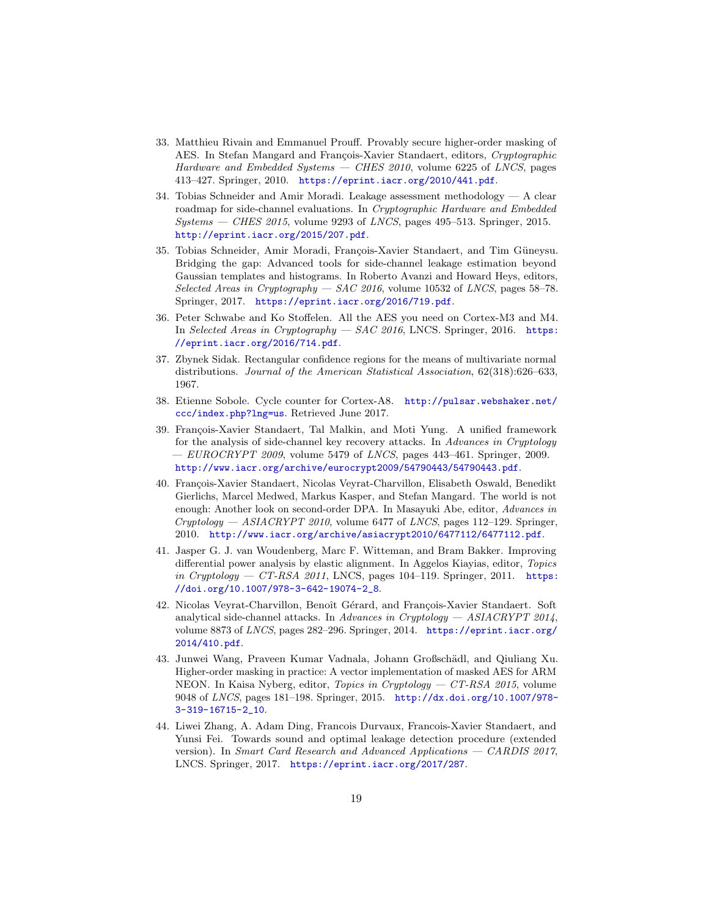- <span id="page-18-0"></span>33. Matthieu Rivain and Emmanuel Prouff. Provably secure higher-order masking of AES. In Stefan Mangard and François-Xavier Standaert, editors, Cryptographic Hardware and Embedded Systems — CHES 2010, volume 6225 of LNCS, pages 413–427. Springer, 2010. <https://eprint.iacr.org/2010/441.pdf>.
- <span id="page-18-5"></span>34. Tobias Schneider and Amir Moradi. Leakage assessment methodology — A clear roadmap for side-channel evaluations. In Cryptographic Hardware and Embedded  $Systems - CHES 2015$ , volume 9293 of *LNCS*, pages 495–513. Springer, 2015. <http://eprint.iacr.org/2015/207.pdf>.
- <span id="page-18-8"></span>35. Tobias Schneider, Amir Moradi, François-Xavier Standaert, and Tim Güneysu. Bridging the gap: Advanced tools for side-channel leakage estimation beyond Gaussian templates and histograms. In Roberto Avanzi and Howard Heys, editors, Selected Areas in Cryptography — SAC 2016, volume 10532 of LNCS, pages 58–78. Springer, 2017. <https://eprint.iacr.org/2016/719.pdf>.
- <span id="page-18-1"></span>36. Peter Schwabe and Ko Stoffelen. All the AES you need on Cortex-M3 and M4. In Selected Areas in Cryptography — SAC 2016, LNCS. Springer, 2016. [https:](https://eprint.iacr.org/2016/714.pdf) [//eprint.iacr.org/2016/714.pdf](https://eprint.iacr.org/2016/714.pdf).
- <span id="page-18-7"></span>37. Zbynek Sidak. Rectangular confidence regions for the means of multivariate normal distributions. Journal of the American Statistical Association, 62(318):626–633, 1967.
- <span id="page-18-2"></span>38. Etienne Sobole. Cycle counter for Cortex-A8. [http://pulsar.webshaker.net/](http://pulsar.webshaker.net/ccc/index.php?lng=us) [ccc/index.php?lng=us](http://pulsar.webshaker.net/ccc/index.php?lng=us). Retrieved June 2017.
- <span id="page-18-9"></span>39. François-Xavier Standaert, Tal Malkin, and Moti Yung. A unified framework for the analysis of side-channel key recovery attacks. In Advances in Cryptology  $-$  EUROCRYPT 2009, volume 5479 of LNCS, pages 443–461. Springer, 2009. <http://www.iacr.org/archive/eurocrypt2009/54790443/54790443.pdf>.
- <span id="page-18-10"></span>40. François-Xavier Standaert, Nicolas Veyrat-Charvillon, Elisabeth Oswald, Benedikt Gierlichs, Marcel Medwed, Markus Kasper, and Stefan Mangard. The world is not enough: Another look on second-order DPA. In Masayuki Abe, editor, Advances in  $Cryptology - ASIACRYPT 2010$ , volume 6477 of LNCS, pages 112–129. Springer, 2010. <http://www.iacr.org/archive/asiacrypt2010/6477112/6477112.pdf>.
- <span id="page-18-4"></span>41. Jasper G. J. van Woudenberg, Marc F. Witteman, and Bram Bakker. Improving differential power analysis by elastic alignment. In Aggelos Kiayias, editor, Topics in Cryptology — CT-RSA 2011, LNCS, pages  $104-119$ . Springer, 2011. [https:](https://doi.org/10.1007/978-3-642-19074-2_8) [//doi.org/10.1007/978-3-642-19074-2\\_8](https://doi.org/10.1007/978-3-642-19074-2_8).
- <span id="page-18-11"></span>42. Nicolas Veyrat-Charvillon, Benoît Gérard, and François-Xavier Standaert. Soft analytical side-channel attacks. In Advances in Cryptology  $-$  ASIACRYPT 2014, volume 8873 of LNCS, pages 282–296. Springer, 2014. [https://eprint.iacr.org/](https://eprint.iacr.org/2014/410.pdf) [2014/410.pdf](https://eprint.iacr.org/2014/410.pdf).
- <span id="page-18-3"></span>43. Junwei Wang, Praveen Kumar Vadnala, Johann Großschädl, and Qiuliang Xu. Higher-order masking in practice: A vector implementation of masked AES for ARM NEON. In Kaisa Nyberg, editor, Topics in Cryptology — CT-RSA 2015, volume 9048 of LNCS, pages 181–198. Springer, 2015. [http://dx.doi.org/10.1007/978-](http://dx.doi.org/10.1007/978-3-319-16715-2_10) [3-319-16715-2\\_10](http://dx.doi.org/10.1007/978-3-319-16715-2_10).
- <span id="page-18-6"></span>44. Liwei Zhang, A. Adam Ding, Francois Durvaux, Francois-Xavier Standaert, and Yunsi Fei. Towards sound and optimal leakage detection procedure (extended version). In Smart Card Research and Advanced Applications — CARDIS 2017, LNCS. Springer, 2017. <https://eprint.iacr.org/2017/287>.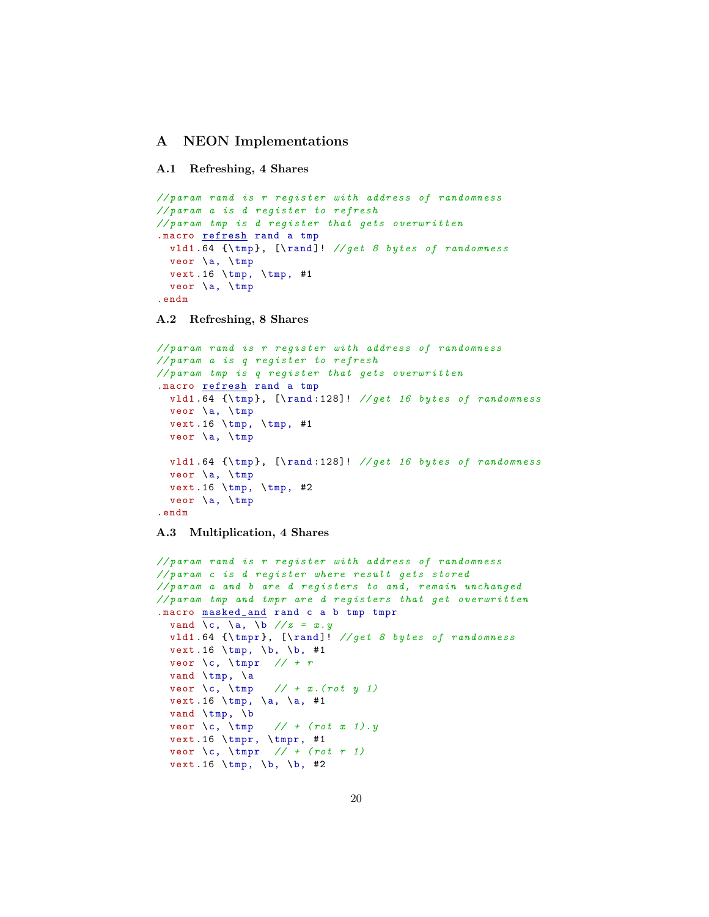## <span id="page-19-0"></span>A NEON Implementations

### A.1 Refreshing, 4 Shares

```
// param rand is r register with address of randomness
// param a is d register to refresh
// param tmp is d register that gets overwritten
.macro refresh rand a tmp
 vld1 .64 {\ tmp }, [\ rand ]! // get 8 bytes of randomness
 veor \a, \tmp
 vext.16 \tmp, \tmp, #1
 veor \a, \tmp
.endm
```
### A.2 Refreshing, 8 Shares

```
// param rand is r register with address of randomness
// param a is q register to refresh
// param tmp is q register that gets overwritten
.macro refresh rand a tmp
 vld1 .64 {\ tmp }, [\ rand :128]! // get 16 bytes of randomness
 veor \a, \tmp
 vext.16 \tmp, \tmp, #1
 veor \a, \tmp
 vld1 .64 {\ tmp }, [\ rand :128]! // get 16 bytes of randomness
 veor \a, \tmp
 vext.16 \tmp, \time, #2veor \a, \tmp
.endm
```
### A.3 Multiplication, 4 Shares

```
// param rand is r register with address of randomness
// param c is d register where result gets stored
// param a and b are d registers to and, remain unchanged
// param tmp and tmpr are d registers that get overwritten
.macro masked_and rand c a b tmp tmpr
  vand \c, \ a, \ b \ // z = x. yvld1 .64 {\ tmpr }, [\ rand ]! // get 8 bytes of randomness
  vext.16 \tmp, \b, \b, #1
  veor \c, \ tmpr // + r
  vand \tmp, \a
  veor \c, \tmp // + x.(rot y 1)vext . 16 \tmp, \a, \a, #1
  vand \tmp, \b<br>veor \c, \tmp\frac{1}{1 + (rot \ x \ 1).y}vext.16 \ntmpr, \tnpr, #1
  veor \c, \ tmpr // + ( rot r 1)
  vext.16 \tmp, \b, \b, #2
```